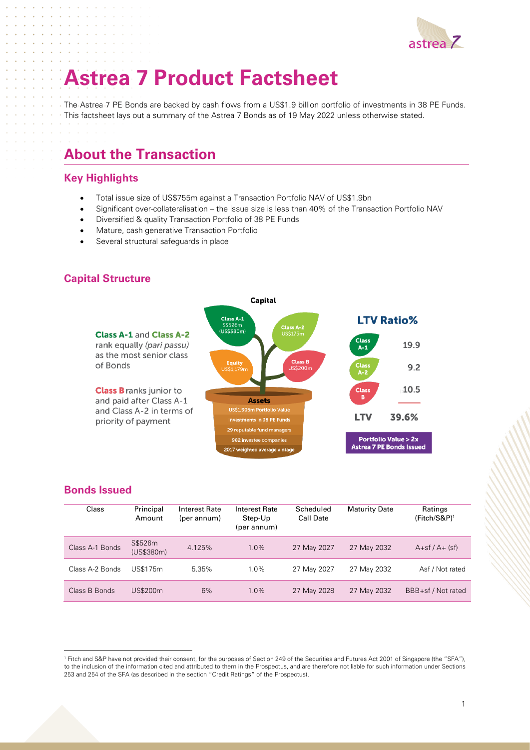

# **Astrea 7 Product Factsheet**

The Astrea 7 PE Bonds are backed by cash flows from a US\$1.9 billion portfolio of investments in 38 PE Funds. This factsheet lays out a summary of the Astrea 7 Bonds as of 19 May 2022 unless otherwise stated.

# **About the Transaction**

#### **Key Highlights**

- Total issue size of US\$755m against a Transaction Portfolio NAV of US\$1.9bn
- Significant over-collateralisation the issue size is less than 40% of the Transaction Portfolio NAV
- Diversified & quality Transaction Portfolio of 38 PE Funds
- Mature, cash generative Transaction Portfolio
- Several structural safeguards in place

### **Capital Structure**



#### **Bonds Issued**

| Class           | Principal<br>Amount   | <b>Interest Rate</b><br>(per annum) | Interest Rate<br>Step-Up<br>(per annum) | Scheduled<br><b>Call Date</b> | <b>Maturity Date</b> | Ratings<br>(Fitch/S&P) <sup>1</sup> |
|-----------------|-----------------------|-------------------------------------|-----------------------------------------|-------------------------------|----------------------|-------------------------------------|
| Class A-1 Bonds | S\$526m<br>(US\$380m) | 4.125%                              | $1.0\%$                                 | 27 May 2027                   | 27 May 2032          | $A+sf/A+$ (sf)                      |
| Class A-2 Bonds | US\$175m              | 5.35%                               | 1.0%                                    | 27 May 2027                   | 27 May 2032          | Asf / Not rated                     |
| Class B Bonds   | US\$200m              | 6%                                  | $1.0\%$                                 | 27 May 2028                   | 27 May 2032          | BBB+sf / Not rated                  |

<sup>1</sup> Fitch and S&P have not provided their consent, for the purposes of Section 249 of the Securities and Futures Act 2001 of Singapore (the "SFA"), to the inclusion of the information cited and attributed to them in the Prospectus, and are therefore not liable for such information under Sections 253 and 254 of the SFA (as described in the section "Credit Ratings" of the Prospectus).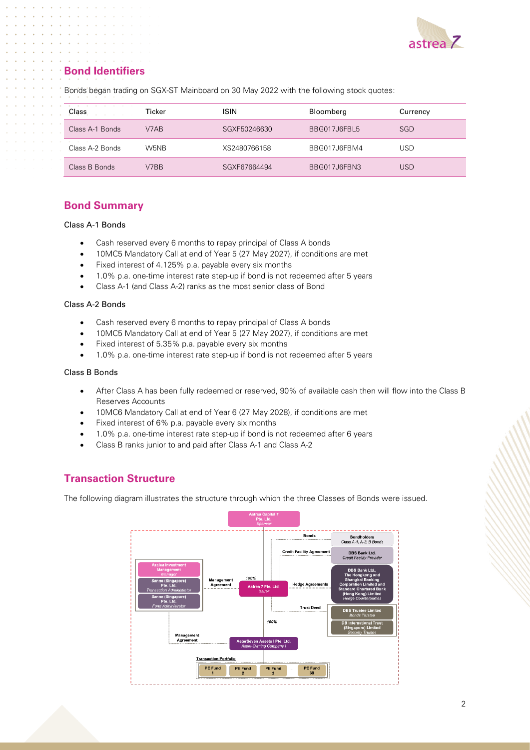

# **Bond Identifiers**

| Class                | Ticker | <b>ISIN</b>  | Bloomberg    | Currency |
|----------------------|--------|--------------|--------------|----------|
| Class A-1 Bonds      | V7AB   | SGXF50246630 | BBG017J6FBL5 | SGD      |
| .<br>Class A-2 Bonds | W5NB   | XS2480766158 | BBG017J6FBM4 | USD      |
| Class B Bonds        | V7BB   | SGXF67664494 | BBG017J6FBN3 | USD      |

Bonds began trading on SGX-ST Mainboard on 30 May 2022 with the following stock quotes:

### **Bond Summary**

#### Class A-1 Bonds

- Cash reserved every 6 months to repay principal of Class A bonds
- 10MC5 Mandatory Call at end of Year 5 (27 May 2027), if conditions are met
- Fixed interest of 4.125% p.a. payable every six months
- 1.0% p.a. one-time interest rate step-up if bond is not redeemed after 5 years
- Class A-1 (and Class A-2) ranks as the most senior class of Bond

#### Class A-2 Bonds

- Cash reserved every 6 months to repay principal of Class A bonds
- 10MC5 Mandatory Call at end of Year 5 (27 May 2027), if conditions are met
- Fixed interest of 5.35% p.a. payable every six months
- 1.0% p.a. one-time interest rate step-up if bond is not redeemed after 5 years

#### Class B Bonds

- After Class A has been fully redeemed or reserved, 90% of available cash then will flow into the Class B Reserves Accounts
- 10MC6 Mandatory Call at end of Year 6 (27 May 2028), if conditions are met
- Fixed interest of 6% p.a. payable every six months
- 1.0% p.a. one-time interest rate step-up if bond is not redeemed after 6 years
- Class B ranks junior to and paid after Class A-1 and Class A-2

#### **Transaction Structure**

The following diagram illustrates the structure through which the three Classes of Bonds were issued.

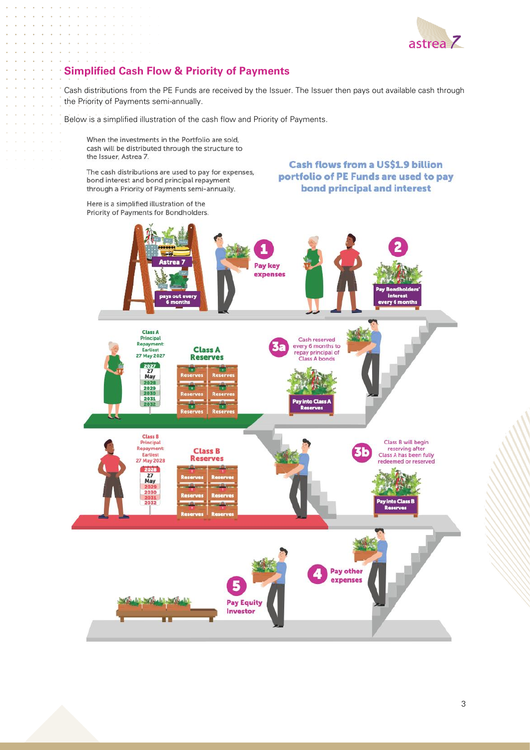

# **Simplified Cash Flow & Priority of Payments**

Cash distributions from the PE Funds are received by the Issuer. The Issuer then pays out available cash through the Priority of Payments semi-annually.

Below is a simplified illustration of the cash flow and Priority of Payments.

When the investments in the Portfolio are sold, cash will be distributed through the structure to the Issuer, Astrea 7.

The cash distributions are used to pay for expenses, bond interest and bond principal repayment through a Priority of Payments semi-annually.

**Cash flows from a US\$1.9 billion** portfolio of PE Funds are used to pay bond principal and interest

Here is a simplified illustration of the Priority of Payments for Bondholders.

÷. ÷.

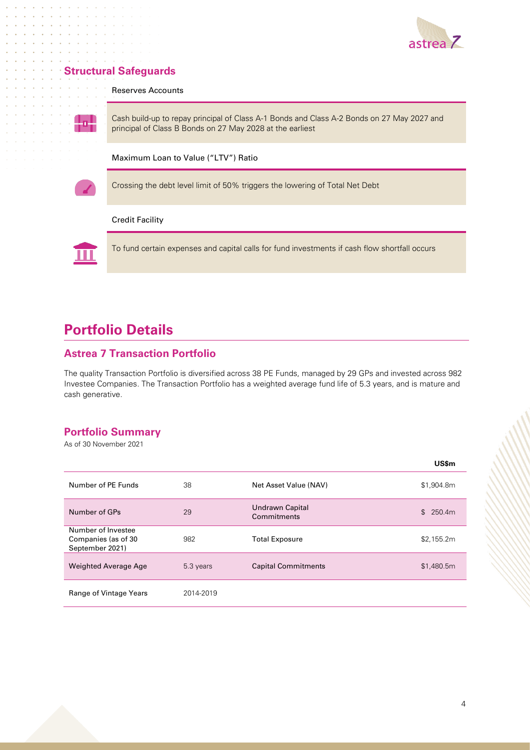

## **Structural Safeguards**

Reserves Accounts



Cash build-up to repay principal of Class A-1 Bonds and Class A-2 Bonds on 27 May 2027 and principal of Class B Bonds on 27 May 2028 at the earliest

Maximum Loan to Value ("LTV") Ratio

Crossing the debt level limit of 50% triggers the lowering of Total Net Debt

#### Credit Facility



To fund certain expenses and capital calls for fund investments if cash flow shortfall occurs

# **Portfolio Details**

#### **Astrea 7 Transaction Portfolio**

The quality Transaction Portfolio is diversified across 38 PE Funds, managed by 29 GPs and invested across 982 Investee Companies. The Transaction Portfolio has a weighted average fund life of 5.3 years, and is mature and cash generative.

## **Portfolio Summary**

As of 30 November 2021

|                                                              |           |                                | <b>US\$m</b>            |
|--------------------------------------------------------------|-----------|--------------------------------|-------------------------|
| Number of PE Funds                                           | 38        | Net Asset Value (NAV)          | \$1,904.8m              |
| Number of GPs                                                | 29        | Undrawn Capital<br>Commitments | 250.4m<br>$\mathcal{S}$ |
| Number of Investee<br>Companies (as of 30<br>September 2021) | 982       | <b>Total Exposure</b>          | \$2,155.2m              |
| <b>Weighted Average Age</b>                                  | 5.3 years | <b>Capital Commitments</b>     | \$1,480.5m              |
| Range of Vintage Years                                       | 2014-2019 |                                |                         |